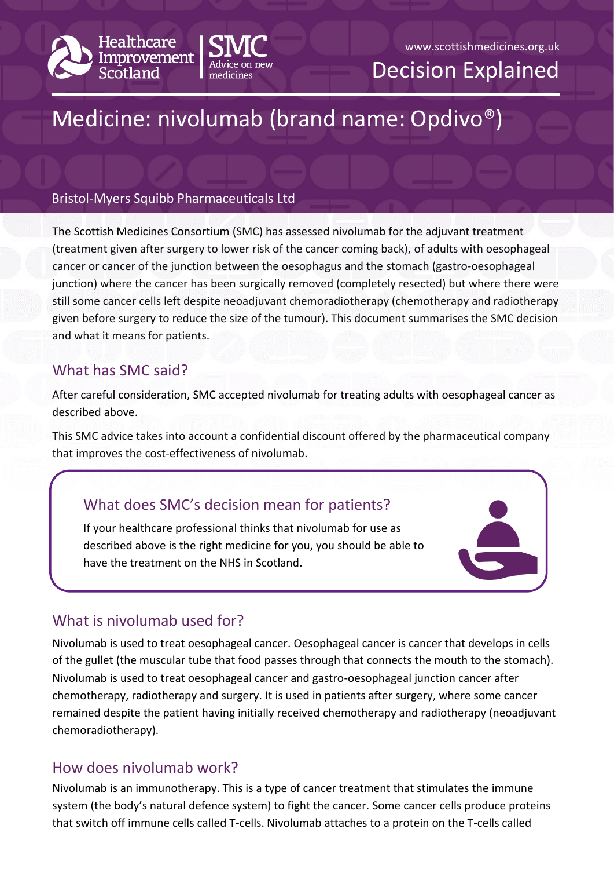



#### www.scottishmedicines.org.uk

Decision Explained

# Medicine: nivolumab (brand name: Opdivo®)

#### Bristol-Myers Squibb Pharmaceuticals Ltd

The Scottish Medicines Consortium (SMC) has assessed nivolumab for the adjuvant treatment (treatment given after surgery to lower risk of the cancer coming back), of adults with oesophageal cancer or cancer of the junction between the oesophagus and the stomach (gastro-oesophageal junction) where the cancer has been surgically removed (completely resected) but where there were still some cancer cells left despite neoadjuvant chemoradiotherapy (chemotherapy and radiotherapy given before surgery to reduce the size of the tumour). This document summarises the SMC decision and what it means for patients.

### What has SMC said?

After careful consideration, SMC accepted nivolumab for treating adults with oesophageal cancer as described above.

This SMC advice takes into account a confidential discount offered by the pharmaceutical company that improves the cost-effectiveness of nivolumab.

# What does SMC's decision mean for patients?

If your healthcare professional thinks that nivolumab for use as described above is the right medicine for you, you should be able to have the treatment on the NHS in Scotland.



# What is nivolumab used for?

Nivolumab is used to treat oesophageal cancer. Oesophageal cancer is cancer that develops in cells of the gullet (the muscular tube that food passes through that connects the mouth to the stomach). Nivolumab is used to treat oesophageal cancer and gastro-oesophageal junction cancer after chemotherapy, radiotherapy and surgery. It is used in patients after surgery, where some cancer remained despite the patient having initially received chemotherapy and radiotherapy (neoadjuvant chemoradiotherapy).

## How does nivolumab work?

Nivolumab is an immunotherapy. This is a type of cancer treatment that stimulates the immune system (the body's natural defence system) to fight the cancer. Some cancer cells produce proteins that switch off immune cells called T-cells. Nivolumab attaches to a protein on the T-cells called